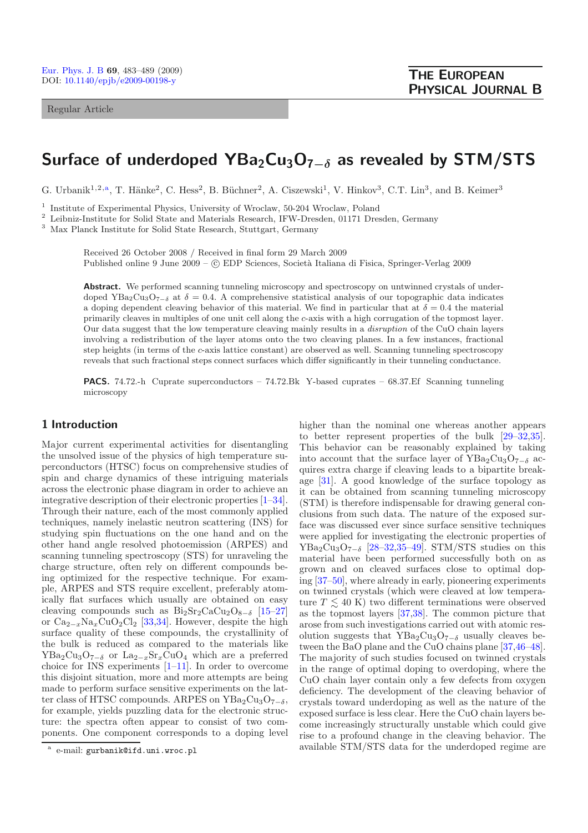Regular Article

# **Surface of underdoped YBa2Cu3O7***−<sup>δ</sup>* **as revealed by STM/STS**

G. Urbanik<sup>1,2,a</sup>, T. Hänke<sup>2</sup>, C. Hess<sup>2</sup>, B. Büchner<sup>2</sup>, A. Ciszewski<sup>1</sup>, V. Hinkov<sup>3</sup>, C.T. Lin<sup>3</sup>, and B. Keimer<sup>3</sup>

<sup>1</sup> Institute of Experimental Physics, University of Wroclaw, 50-204 Wroclaw, Poland

<sup>2</sup> Leibniz-Institute for Solid State and Materials Research, IFW-Dresden, 01171 Dresden, Germany

<sup>3</sup> Max Planck Institute for Solid State Research, Stuttgart, Germany

Received 26 October 2008 / Received in final form 29 March 2009 Published online 9 June 2009 –  $\odot$  EDP Sciences, Società Italiana di Fisica, Springer-Verlag 2009

Abstract. We performed scanning tunneling microscopy and spectroscopy on untwinned crystals of underdoped YBa<sub>2</sub>Cu<sub>3</sub>O<sub>7−</sub>δ at  $\delta = 0.4$ . A comprehensive statistical analysis of our topographic data indicates a doping dependent cleaving behavior of this material. We find in particular that at  $\delta = 0.4$  the material primarily cleaves in multiples of one unit cell along the c-axis with a high corrugation of the topmost layer. Our data suggest that the low temperature cleaving mainly results in a *disruption* of the CuO chain layers involving a redistribution of the layer atoms onto the two cleaving planes. In a few instances, fractional step heights (in terms of the c-axis lattice constant) are observed as well. Scanning tunneling spectroscopy reveals that such fractional steps connect surfaces which differ significantly in their tunneling conductance.

**PACS.** 74.72.-h Cuprate superconductors – 74.72.Bk Y-based cuprates – 68.37.Ef Scanning tunneling microscopy

## **1 Introduction**

Major current experimental activities for disentangling the unsolved issue of the physics of high temperature superconductors (HTSC) focus on comprehensive studies of spin and charge dynamics of these intriguing materials across the electronic phase diagram in order to achieve an integrative description of their electronic properties [\[1](#page-5-0)[–34\]](#page-6-0). Through their nature, each of the most commonly applied techniques, namely inelastic neutron scattering (INS) for studying spin fluctuations on the one hand and on the other hand angle resolved photoemission (ARPES) and scanning tunneling spectroscopy (STS) for unraveling the charge structure, often rely on different compounds being optimized for the respective technique. For example, ARPES and STS require excellent, preferably atomically flat surfaces which usually are obtained on easy cleaving compounds such as  $Bi_2Sr_2CaCu_2O_{8-\delta}$  [\[15](#page-6-1)[–27\]](#page-6-2) or  $Ca_{2-x}Na_xCuO_2Cl_2$  [\[33](#page-6-3)[,34](#page-6-0)]. However, despite the high surface quality of these compounds, the crystallinity of the bulk is reduced as compared to the materials like  $YBa<sub>2</sub>Cu<sub>3</sub>O<sub>7-\delta</sub>$  or  $La<sub>2-x</sub>Sr<sub>x</sub>CuO<sub>4</sub>$  which are a preferred choice for INS experiments [\[1](#page-5-0)[–11\]](#page-6-4). In order to overcome this disjoint situation, more and more attempts are being made to perform surface sensitive experiments on the latter class of HTSC compounds. ARPES on YBa<sub>2</sub>Cu<sub>3</sub>O<sub>7−δ</sub>, for example, yields puzzling data for the electronic structure: the spectra often appear to consist of two components. One component corresponds to a doping level

higher than the nominal one whereas another appears to better represent properties of the bulk [\[29](#page-6-5)[–32](#page-6-6)[,35\]](#page-6-7). This behavior can be reasonably explained by taking into account that the surface layer of YBa<sub>2</sub>Cu<sub>3</sub>O<sub>7−δ</sub> acquires extra charge if cleaving leads to a bipartite breakage [\[31\]](#page-6-8). A good knowledge of the surface topology as it can be obtained from scanning tunneling microscopy (STM) is therefore indispensable for drawing general conclusions from such data. The nature of the exposed surface was discussed ever since surface sensitive techniques were applied for investigating the electronic properties of  $YBa_2Cu_3O_{7-\delta}$  [\[28](#page-6-9)[–32](#page-6-6)[,35](#page-6-7)[–49](#page-6-10)]. STM/STS studies on this material have been performed successfully both on as grown and on cleaved surfaces close to optimal doping [\[37](#page-6-11)[–50](#page-6-12)], where already in early, pioneering experiments on twinned crystals (which were cleaved at low temperature  $T \lesssim 40 \text{ K}$ ) two different terminations were observed as the topmost layers [\[37](#page-6-11)[,38\]](#page-6-13). The common picture that arose from such investigations carried out with atomic resolution suggests that YBa<sub>2</sub>Cu<sub>3</sub>O<sub>7−δ</sub> usually cleaves between the BaO plane and the CuO chains plane [\[37](#page-6-11)[,46](#page-6-14)[–48\]](#page-6-15). The majority of such studies focused on twinned crystals in the range of optimal doping to overdoping, where the CuO chain layer contain only a few defects from oxygen deficiency. The development of the cleaving behavior of crystals toward underdoping as well as the nature of the exposed surface is less clear. Here the CuO chain layers become increasingly structurally unstable which could give rise to a profound change in the cleaving behavior. The available STM/STS data for the underdoped regime are

<sup>a</sup> e-mail: gurbanik@ifd.uni.wroc.pl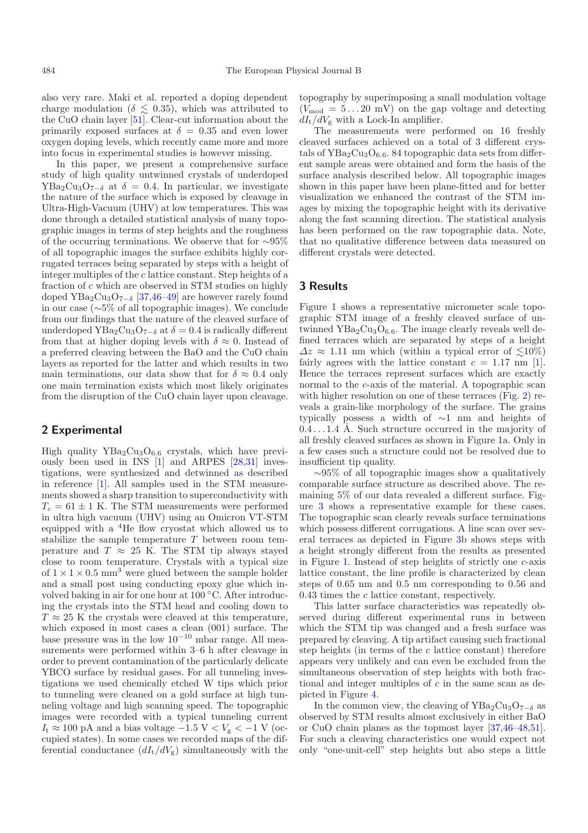also very rare. Maki et al. reported a doping dependent charge modulation ( $\delta \lesssim 0.35$ ), which was attributed to the CuO chain layer [\[51](#page-6-16)]. Clear-cut information about the primarily exposed surfaces at  $\delta = 0.35$  and even lower oxygen doping levels, which recently came more and more into focus in experimental studies is however missing.

In this paper, we present a comprehensive surface study of high quality untwinned crystals of underdoped  $YBa<sub>2</sub>Cu<sub>3</sub>O<sub>7−δ</sub>$  at  $\delta = 0.4$ . In particular, we investigate the nature of the surface which is exposed by cleavage in Ultra-High-Vacuum (UHV) at low temperatures. This was done through a detailed statistical analysis of many topographic images in terms of step heights and the roughness of the occurring terminations. We observe that for ∼95% of all topographic images the surface exhibits highly corrugated terraces being separated by steps with a height of integer multiples of the c lattice constant. Step heights of a fraction of c which are observed in STM studies on highly doped YBa<sub>2</sub>Cu<sub>3</sub>O<sub>7−δ</sub> [\[37](#page-6-11)[,46](#page-6-14)[–49\]](#page-6-10) are however rarely found in our case (∼5% of all topographic images). We conclude from our findings that the nature of the cleaved surface of underdoped YBa<sub>2</sub>Cu<sub>3</sub>O<sub>7−δ</sub> at  $\delta = 0.4$  is radically different from that at higher doping levels with  $\delta \approx 0$ . Instead of a preferred cleaving between the BaO and the CuO chain layers as reported for the latter and which results in two main terminations, our data show that for  $\delta \approx 0.4$  only one main termination exists which most likely originates from the disruption of the CuO chain layer upon cleavage.

#### **2 Experimental**

High quality  $YBa<sub>2</sub>Cu<sub>3</sub>O<sub>6.6</sub>$  crystals, which have previously been used in INS [\[1](#page-5-0)] and ARPES [\[28](#page-6-9)[,31\]](#page-6-8) investigations, were synthesized and detwinned as described in reference [\[1\]](#page-5-0). All samples used in the STM measurements showed a sharp transition to superconductivity with  $T_c = 61 \pm 1$  K. The STM measurements were performed in ultra high vacuum (UHV) using an Omicron VT-STM equipped with a <sup>4</sup>He flow cryostat which allowed us to stabilize the sample temperature  $T$  between room temperature and  $T \approx 25$  K. The STM tip always stayed close to room temperature. Crystals with a typical size of  $1 \times 1 \times 0.5$  mm<sup>3</sup> were glued between the sample holder and a small post using conducting epoxy glue which involved baking in air for one hour at 100 ◦C. After introducing the crystals into the STM head and cooling down to  $T \approx 25$  K the crystals were cleaved at this temperature, which exposed in most cases a clean (001) surface. The base pressure was in the low  $10^{-10}$  mbar range. All measurements were performed within 3–6 h after cleavage in order to prevent contamination of the particularly delicate YBCO surface by residual gases. For all tunneling investigations we used chemically etched W tips which prior to tunneling were cleaned on a gold surface at high tunneling voltage and high scanning speed. The topographic images were recorded with a typical tunneling current  $I_t \approx 100 \text{ pA}$  and a bias voltage  $-1.5 \text{ V} < V_g < -1 \text{ V}$  (occupied states). In some cases we recorded maps of the differential conductance  $(dI_t/dV_g)$  simultaneously with the

topography by superimposing a small modulation voltage  $(V_{\text{mod}} = 5...20 \text{ mV})$  on the gap voltage and detecting  $dI_t/dV_g$  with a Lock-In amplifier.

The measurements were performed on 16 freshly cleaved surfaces achieved on a total of 3 different crystals of  $YBa<sub>2</sub>Cu<sub>3</sub>O<sub>6.6</sub>$ . 84 topographic data sets from different sample areas were obtained and form the basis of the surface analysis described below. All topographic images shown in this paper have been plane-fitted and for better visualization we enhanced the contrast of the STM images by mixing the topographic height with its derivative along the fast scanning direction. The statistical analysis has been performed on the raw topographic data. Note, that no qualitative difference between data measured on different crystals were detected.

# **3 Results**

Figure [1](#page-2-0) shows a representative micrometer scale topographic STM image of a freshly cleaved surface of untwinned  $YBa<sub>2</sub>Cu<sub>3</sub>O<sub>6.6</sub>$ . The image clearly reveals well defined terraces which are separated by steps of a height  $\Delta z \approx 1.11$  nm which (within a typical error of  $\lesssim 10\%$ ) fairly agrees with the lattice constant  $c = 1.17$  nm [\[1\]](#page-5-0). Hence the terraces represent surfaces which are exactly normal to the c-axis of the material. A topographic scan with higher resolution on one of these terraces (Fig. [2\)](#page-2-1) reveals a grain-like morphology of the surface. The grains typically possess a width of ∼1 nm and heights of  $0.4 \ldots 1.4$  Å. Such structure occurred in the majority of all freshly cleaved surfaces as shown in Figure [1a](#page-2-0). Only in a few cases such a structure could not be resolved due to insufficient tip quality.

∼95% of all topographic images show a qualitatively comparable surface structure as described above. The remaining 5% of our data revealed a different surface. Figure [3](#page-3-0) shows a representative example for these cases. The topographic scan clearly reveals surface terminations which possess different corrugations. A line scan over several terraces as depicted in Figure [3b](#page-3-0) shows steps with a height strongly different from the results as presented in Figure [1.](#page-2-0) Instead of step heights of strictly one c-axis lattice constant, the line profile is characterized by clean steps of 0.65 nm and 0.5 nm corresponding to 0.56 and  $0.43$  times the  $c$  lattice constant, respectively.

This latter surface characteristics was repeatedly observed during different experimental runs in between which the STM tip was changed and a fresh surface was prepared by cleaving. A tip artifact causing such fractional step heights (in terms of the  $c$  lattice constant) therefore appears very unlikely and can even be excluded from the simultaneous observation of step heights with both fractional and integer multiples of  $c$  in the same scan as depicted in Figure [4.](#page-3-1)

In the common view, the cleaving of YBa<sub>2</sub>Cu<sub>3</sub>O<sub>7−δ</sub> as observed by STM results almost exclusively in either BaO or CuO chain planes as the topmost layer [\[37](#page-6-11)[,46](#page-6-14)[–48](#page-6-15)[,51\]](#page-6-16). For such a cleaving characteristics one would expect not only "one-unit-cell" step heights but also steps a little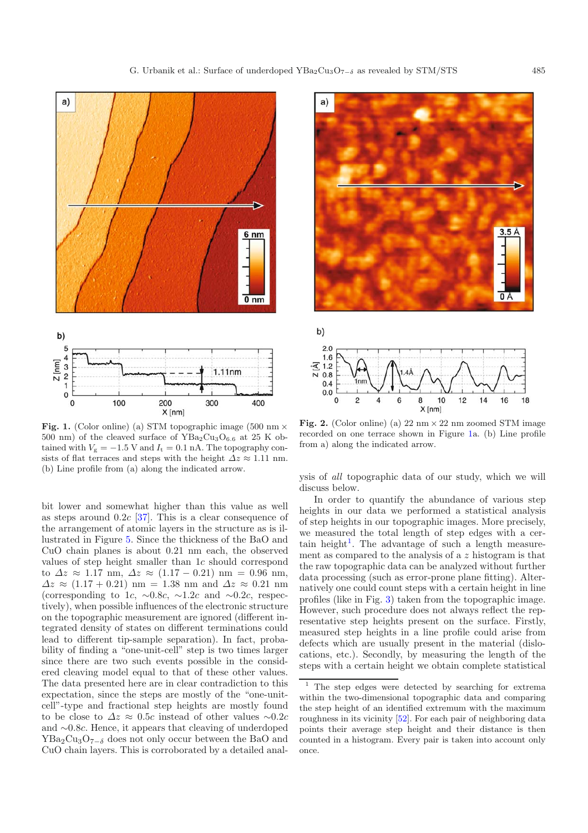

<span id="page-2-0"></span>Fig. 1. (Color online) (a) STM topographic image (500 nm  $\times$ 500 nm) of the cleaved surface of  $YBa<sub>2</sub>Cu<sub>3</sub>O<sub>6.6</sub>$  at 25 K obtained with  $V_{\rm g} = -1.5$  V and  $I_{\rm t} = 0.1$  nA. The topography consists of flat terraces and steps with the height  $\Delta z \approx 1.11$  nm. (b) Line profile from (a) along the indicated arrow.

bit lower and somewhat higher than this value as well as steps around  $0.2c$  [\[37](#page-6-11)]. This is a clear consequence of the arrangement of atomic layers in the structure as is illustrated in Figure [5.](#page-3-2) Since the thickness of the BaO and CuO chain planes is about 0.21 nm each, the observed values of step height smaller than 1c should correspond to  $\Delta z \approx 1.17$  nm,  $\Delta z \approx (1.17 - 0.21)$  nm = 0.96 nm,  $\Delta z \approx (1.17 + 0.21)$  nm = 1.38 nm and  $\Delta z \approx 0.21$  nm (corresponding to 1c,  $\sim 0.8c$ ,  $\sim 1.2c$  and  $\sim 0.2c$ , respectively), when possible influences of the electronic structure on the topographic measurement are ignored (different integrated density of states on different terminations could lead to different tip-sample separation). In fact, probability of finding a "one-unit-cell" step is two times larger since there are two such events possible in the considered cleaving model equal to that of these other values. The data presented here are in clear contradiction to this expectation, since the steps are mostly of the "one-unitcell"-type and fractional step heights are mostly found to be close to  $\Delta z \approx 0.5c$  instead of other values ~0.2c and <sup>∼</sup>0.8c. Hence, it appears that cleaving of underdoped  $YBa<sub>2</sub>Cu<sub>3</sub>O<sub>7−δ</sub>$  does not only occur between the BaO and CuO chain layers. This is corroborated by a detailed anal-



<span id="page-2-1"></span>

**Fig. 2.** (Color online) (a)  $22 \text{ nm} \times 22 \text{ nm}$  zoomed STM image recorded on one terrace shown in Figure [1a](#page-2-0). (b) Line profile from a) along the indicated arrow.

ysis of *all* topographic data of our study, which we will discuss below.

<span id="page-2-2"></span>In order to quantify the abundance of various step heights in our data we performed a statistical analysis of step heights in our topographic images. More precisely, we measured the total length of step edges with a cer-tain height<sup>[1](#page-2-2)</sup>. The advantage of such a length measurement as compared to the analysis of a z histogram is that the raw topographic data can be analyzed without further data processing (such as error-prone plane fitting). Alternatively one could count steps with a certain height in line profiles (like in Fig. [3\)](#page-3-0) taken from the topographic image. However, such procedure does not always reflect the representative step heights present on the surface. Firstly, measured step heights in a line profile could arise from defects which are usually present in the material (dislocations, etc.). Secondly, by measuring the length of the steps with a certain height we obtain complete statistical

<sup>1</sup> The step edges were detected by searching for extrema within the two-dimensional topographic data and comparing the step height of an identified extremum with the maximum roughness in its vicinity [\[52\]](#page-6-17). For each pair of neighboring data points their average step height and their distance is then counted in a histogram. Every pair is taken into account only once.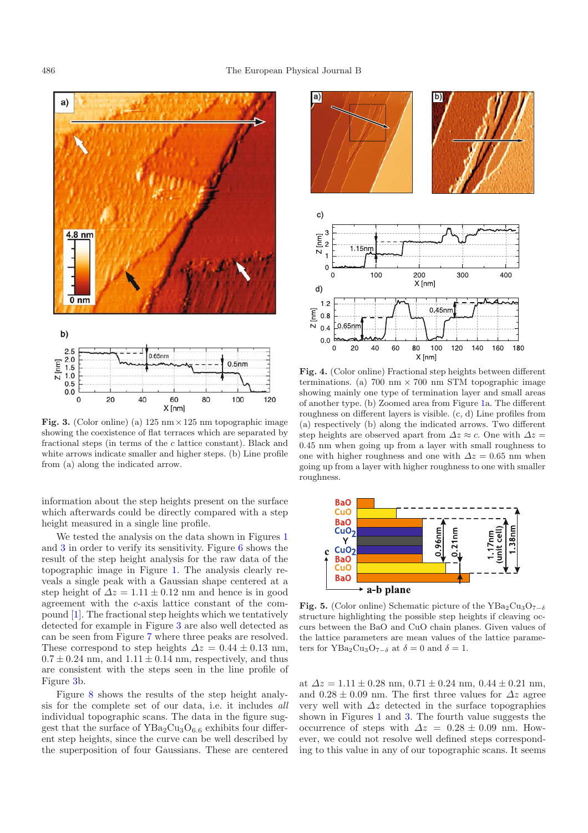

<span id="page-3-0"></span>**Fig. 3.** (Color online) (a)  $125 \text{ nm} \times 125 \text{ nm}$  topographic image showing the coexistence of flat terraces which are separated by fractional steps (in terms of the  $c$  lattice constant). Black and white arrows indicate smaller and higher steps. (b) Line profile from (a) along the indicated arrow.

information about the step heights present on the surface which afterwards could be directly compared with a step height measured in a single line profile.

We tested the analysis on the data shown in Figures [1](#page-2-0) and [3](#page-3-0) in order to verify its sensitivity. Figure [6](#page-4-0) shows the result of the step height analysis for the raw data of the topographic image in Figure [1.](#page-2-0) The analysis clearly reveals a single peak with a Gaussian shape centered at a step height of  $\Delta z = 1.11 \pm 0.12$  nm and hence is in good agreement with the c-axis lattice constant of the compound [\[1\]](#page-5-0). The fractional step heights which we tentatively detected for example in Figure [3](#page-3-0) are also well detected as can be seen from Figure [7](#page-4-1) where three peaks are resolved. These correspond to step heights  $\Delta z = 0.44 \pm 0.13$  nm,  $0.7 \pm 0.24$  nm, and  $1.11 \pm 0.14$  nm, respectively, and thus are consistent with the steps seen in the line profile of Figure [3b](#page-3-0).

Figure [8](#page-4-2) shows the results of the step height analysis for the complete set of our data, i.e. it includes *all* individual topographic scans. The data in the figure suggest that the surface of  $YBa<sub>2</sub>Cu<sub>3</sub>O<sub>6.6</sub>$  exhibits four different step heights, since the curve can be well described by the superposition of four Gaussians. These are centered



<span id="page-3-1"></span>**Fig. 4.** (Color online) Fractional step heights between different terminations. (a) 700 nm  $\times$  700 nm STM topographic image showing mainly one type of termination layer and small areas of another type. (b) Zoomed area from Figure [1a](#page-2-0). The different roughness on different layers is visible. (c, d) Line profiles from (a) respectively (b) along the indicated arrows. Two different step heights are observed apart from  $\Delta z \approx c$ . One with  $\Delta z =$ 0.45 nm when going up from a layer with small roughness to one with higher roughness and one with  $\Delta z = 0.65$  nm when going up from a layer with higher roughness to one with smaller roughness.

<span id="page-3-2"></span>

**Fig. 5.** (Color online) Schematic picture of the YBa<sub>2</sub>Cu<sub>3</sub>O<sub>7−δ</sub> structure highlighting the possible step heights if cleaving occurs between the BaO and CuO chain planes. Given values of the lattice parameters are mean values of the lattice parameters for YBa<sub>2</sub>Cu<sub>3</sub>O<sub>7−δ</sub> at  $\delta = 0$  and  $\delta = 1$ .

at  $\Delta z = 1.11 \pm 0.28$  nm,  $0.71 \pm 0.24$  nm,  $0.44 \pm 0.21$  nm, and  $0.28 \pm 0.09$  nm. The first three values for  $\Delta z$  agree very well with  $\Delta z$  detected in the surface topographies shown in Figures [1](#page-2-0) and [3.](#page-3-0) The fourth value suggests the occurrence of steps with  $\Delta z = 0.28 \pm 0.09$  nm. However, we could not resolve well defined steps corresponding to this value in any of our topographic scans. It seems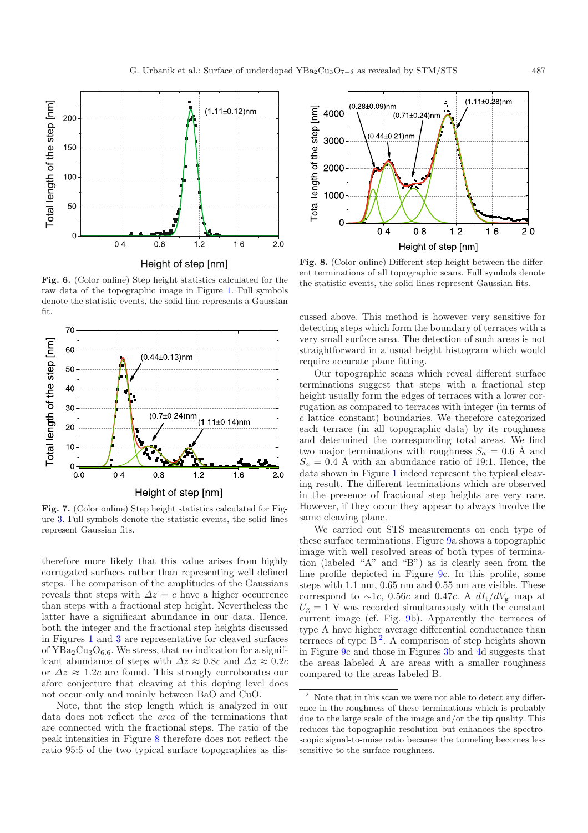<span id="page-4-0"></span>

**Fig. 6.** (Color online) Step height statistics calculated for the raw data of the topographic image in Figure [1.](#page-2-0) Full symbols denote the statistic events, the solid line represents a Gaussian fit.

<span id="page-4-1"></span>

**Fig. 7.** (Color online) Step height statistics calculated for Figure [3.](#page-3-0) Full symbols denote the statistic events, the solid lines represent Gaussian fits.

therefore more likely that this value arises from highly corrugated surfaces rather than representing well defined steps. The comparison of the amplitudes of the Gaussians reveals that steps with  $\Delta z = c$  have a higher occurrence than steps with a fractional step height. Nevertheless the latter have a significant abundance in our data. Hence, both the integer and the fractional step heights discussed in Figures [1](#page-2-0) and [3](#page-3-0) are representative for cleaved surfaces of  $YBa<sub>2</sub>Cu<sub>3</sub>O<sub>6.6</sub>$ . We stress, that no indication for a significant abundance of steps with  $\Delta z \approx 0.8c$  and  $\Delta z \approx 0.2c$ or  $\Delta z \approx 1.2c$  are found. This strongly corroborates our afore conjecture that cleaving at this doping level does not occur only and mainly between BaO and CuO.

Note, that the step length which is analyzed in our data does not reflect the *area* of the terminations that are connected with the fractional steps. The ratio of the peak intensities in Figure [8](#page-4-2) therefore does not reflect the ratio 95:5 of the two typical surface topographies as dis-

<span id="page-4-2"></span>

**Fig. 8.** (Color online) Different step height between the different terminations of all topographic scans. Full symbols denote the statistic events, the solid lines represent Gaussian fits.

cussed above. This method is however very sensitive for detecting steps which form the boundary of terraces with a very small surface area. The detection of such areas is not straightforward in a usual height histogram which would require accurate plane fitting.

Our topographic scans which reveal different surface terminations suggest that steps with a fractional step height usually form the edges of terraces with a lower corrugation as compared to terraces with integer (in terms of c lattice constant) boundaries. We therefore categorized each terrace (in all topographic data) by its roughness and determined the corresponding total areas. We find two major terminations with roughness  $S_a = 0.6 \text{ Å}$  and  $S_a = 0.4$  Å with an abundance ratio of 19:1. Hence, the data shown in Figure [1](#page-2-0) indeed represent the typical cleaving result. The different terminations which are observed in the presence of fractional step heights are very rare. However, if they occur they appear to always involve the same cleaving plane.

<span id="page-4-3"></span>We carried out STS measurements on each type of these surface terminations. Figure [9a](#page-5-1) shows a topographic image with well resolved areas of both types of termination (labeled "A" and "B") as is clearly seen from the line profile depicted in Figure [9c](#page-5-1). In this profile, some steps with 1.1 nm, 0.65 nm and 0.55 nm are visible. These correspond to ~1c, 0.56c and 0.47c. A  $dI_t/dV_g$  map at  $U_{g} = 1$  V was recorded simultaneously with the constant current image (cf. Fig. [9b](#page-5-1)). Apparently the terraces of type A have higher average differential conductance than terraces of type  $B^2$  $B^2$ . A comparison of step heights shown in Figure [9c](#page-5-1) and those in Figures [3b](#page-3-0) and [4d](#page-3-1) suggests that the areas labeled A are areas with a smaller roughness compared to the areas labeled B.

<sup>2</sup> Note that in this scan we were not able to detect any difference in the roughness of these terminations which is probably due to the large scale of the image and/or the tip quality. This reduces the topographic resolution but enhances the spectroscopic signal-to-noise ratio because the tunneling becomes less sensitive to the surface roughness.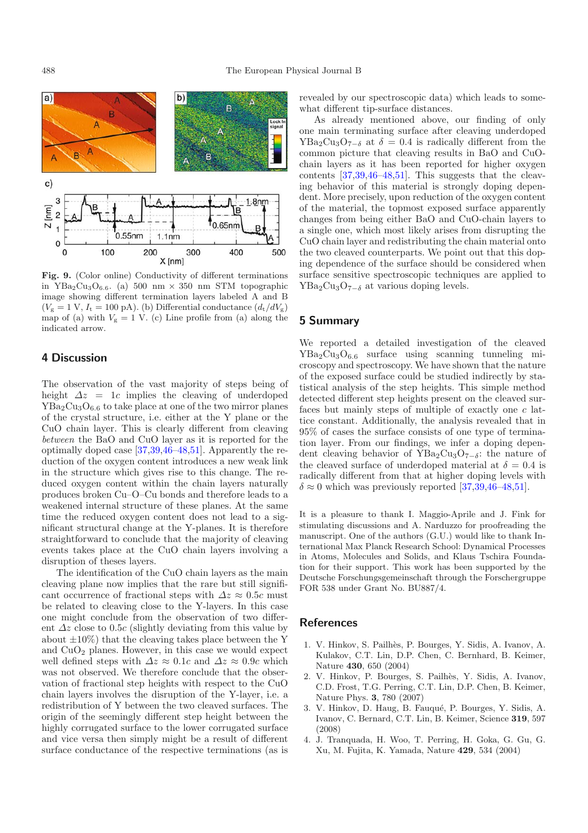<span id="page-5-1"></span>

**Fig. 9.** (Color online) Conductivity of different terminations in YBa<sub>2</sub>Cu<sub>3</sub>O<sub>6.6</sub>. (a) 500 nm  $\times$  350 nm STM topographic image showing different termination layers labeled A and B  $(V<sub>g</sub> = 1 V, I<sub>t</sub> = 100 pA)$ . (b) Differential conductance  $(d<sub>t</sub>/dV<sub>g</sub>)$ map of (a) with  $V_g = 1$  V. (c) Line profile from (a) along the indicated arrow.

## **4 Discussion**

The observation of the vast majority of steps being of height  $\Delta z = 1c$  implies the cleaving of underdoped  $YBa<sub>2</sub>Cu<sub>3</sub>O<sub>6.6</sub>$  to take place at one of the two mirror planes of the crystal structure, i.e. either at the Y plane or the CuO chain layer. This is clearly different from cleaving *between* the BaO and CuO layer as it is reported for the optimally doped case [\[37](#page-6-11)[,39](#page-6-18)[,46](#page-6-14)[–48](#page-6-15)[,51](#page-6-16)]. Apparently the reduction of the oxygen content introduces a new weak link in the structure which gives rise to this change. The reduced oxygen content within the chain layers naturally produces broken Cu–O–Cu bonds and therefore leads to a weakened internal structure of these planes. At the same time the reduced oxygen content does not lead to a significant structural change at the Y-planes. It is therefore straightforward to conclude that the majority of cleaving events takes place at the CuO chain layers involving a disruption of theses layers.

The identification of the CuO chain layers as the main cleaving plane now implies that the rare but still significant occurrence of fractional steps with  $\Delta z \approx 0.5c$  must be related to cleaving close to the Y-layers. In this case one might conclude from the observation of two different  $\Delta z$  close to 0.5c (slightly deviating from this value by about  $\pm 10\%$ ) that the cleaving takes place between the Y and  $CuO<sub>2</sub>$  planes. However, in this case we would expect well defined steps with  $\Delta z \approx 0.1c$  and  $\Delta z \approx 0.9c$  which was not observed. We therefore conclude that the observation of fractional step heights with respect to the CuO chain layers involves the disruption of the Y-layer, i.e. a redistribution of Y between the two cleaved surfaces. The origin of the seemingly different step height between the highly corrugated surface to the lower corrugated surface and vice versa then simply might be a result of different surface conductance of the respective terminations (as is

revealed by our spectroscopic data) which leads to somewhat different tip-surface distances.

As already mentioned above, our finding of only one main terminating surface after cleaving underdoped  $YBa<sub>2</sub>Cu<sub>3</sub>O<sub>7-\delta</sub>$  at  $\delta = 0.4$  is radically different from the common picture that cleaving results in BaO and CuOchain layers as it has been reported for higher oxygen contents [\[37](#page-6-11)[,39](#page-6-18)[,46](#page-6-14)[–48](#page-6-15)[,51\]](#page-6-16). This suggests that the cleaving behavior of this material is strongly doping dependent. More precisely, upon reduction of the oxygen content of the material, the topmost exposed surface apparently changes from being either BaO and CuO-chain layers to a single one, which most likely arises from disrupting the CuO chain layer and redistributing the chain material onto the two cleaved counterparts. We point out that this doping dependence of the surface should be considered when surface sensitive spectroscopic techniques are applied to YBa<sub>2</sub>Cu<sub>3</sub>O<sub>7−δ</sub> at various doping levels.

## **5 Summary**

We reported a detailed investigation of the cleaved  $YBa<sub>2</sub>Cu<sub>3</sub>O<sub>6.6</sub>$  surface using scanning tunneling microscopy and spectroscopy. We have shown that the nature of the exposed surface could be studied indirectly by statistical analysis of the step heights. This simple method detected different step heights present on the cleaved surfaces but mainly steps of multiple of exactly one c lattice constant. Additionally, the analysis revealed that in 95% of cases the surface consists of one type of termination layer. From our findings, we infer a doping dependent cleaving behavior of YBa<sub>2</sub>Cu<sub>3</sub>O<sub>7−δ</sub>: the nature of the cleaved surface of underdoped material at  $\delta = 0.4$  is radically different from that at higher doping levels with  $\delta \approx 0$  which was previously reported [\[37](#page-6-11)[,39](#page-6-18)[,46](#page-6-14)-48[,51\]](#page-6-16).

It is a pleasure to thank I. Maggio-Aprile and J. Fink for stimulating discussions and A. Narduzzo for proofreading the manuscript. One of the authors (G.U.) would like to thank International Max Planck Research School: Dynamical Processes in Atoms, Molecules and Solids, and Klaus Tschira Foundation for their support. This work has been supported by the Deutsche Forschungsgemeinschaft through the Forschergruppe FOR 538 under Grant No. BU887/4.

## <span id="page-5-0"></span>**References**

- 1. V. Hinkov, S. Pailh`es, P. Bourges, Y. Sidis, A. Ivanov, A. Kulakov, C.T. Lin, D.P. Chen, C. Bernhard, B. Keimer, Nature **430**, 650 (2004)
- 2. V. Hinkov, P. Bourges, S. Pailh`es, Y. Sidis, A. Ivanov, C.D. Frost, T.G. Perring, C.T. Lin, D.P. Chen, B. Keimer, Nature Phys. **3**, 780 (2007)
- 3. V. Hinkov, D. Haug, B. Fauqué, P. Bourges, Y. Sidis, A. Ivanov, C. Bernard, C.T. Lin, B. Keimer, Science **319**, 597 (2008)
- 4. J. Tranquada, H. Woo, T. Perring, H. Goka, G. Gu, G. Xu, M. Fujita, K. Yamada, Nature **429**, 534 (2004)